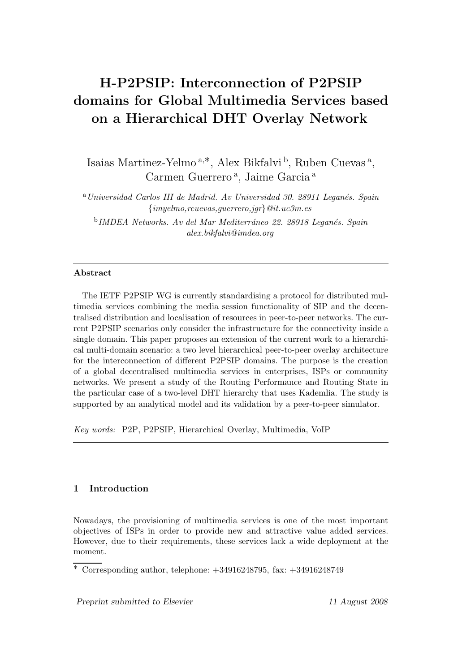# H-P2PSIP: Interconnection of P2PSIP domains for Global Multimedia Services based on a Hierarchical DHT Overlay Network

Isaias Martinez-Yelmo<sup>a,\*</sup>, Alex Bikfalvi<sup>b</sup>, Ruben Cuevas<sup>a</sup>, Carmen Guerrero<sup>a</sup>, Jaime Garcia<sup>a</sup>

<sup>a</sup> Universidad Carlos III de Madrid. Av Universidad 30. 28911 Leganés. Spain  ${imyelmo,rcuevas,querreno, jgr}$ @it.uc3m.es

<sup>b</sup>IMDEA Networks. Av del Mar Mediterráneo 22. 28918 Leganés. Spain alex.bikfalvi@imdea.org

#### Abstract

The IETF P2PSIP WG is currently standardising a protocol for distributed multimedia services combining the media session functionality of SIP and the decentralised distribution and localisation of resources in peer-to-peer networks. The current P2PSIP scenarios only consider the infrastructure for the connectivity inside a single domain. This paper proposes an extension of the current work to a hierarchical multi-domain scenario: a two level hierarchical peer-to-peer overlay architecture for the interconnection of different P2PSIP domains. The purpose is the creation of a global decentralised multimedia services in enterprises, ISPs or community networks. We present a study of the Routing Performance and Routing State in the particular case of a two-level DHT hierarchy that uses Kademlia. The study is supported by an analytical model and its validation by a peer-to-peer simulator.

Key words: P2P, P2PSIP, Hierarchical Overlay, Multimedia, VoIP

# 1 Introduction

Nowadays, the provisioning of multimedia services is one of the most important objectives of ISPs in order to provide new and attractive value added services. However, due to their requirements, these services lack a wide deployment at the moment.

Preprint submitted to Elsevier 11 August 2008

<sup>∗</sup> Corresponding author, telephone: +34916248795, fax: +34916248749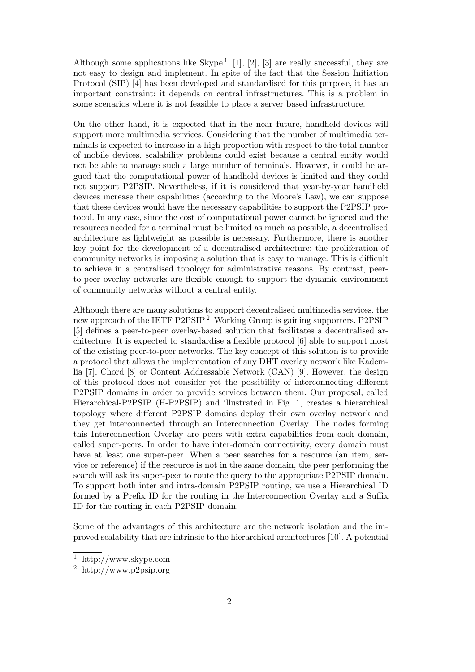Although some applications like  $\text{Skype}^1$  [1], [2], [3] are really successful, they are not easy to design and implement. In spite of the fact that the Session Initiation Protocol (SIP) [4] has been developed and standardised for this purpose, it has an important constraint: it depends on central infrastructures. This is a problem in some scenarios where it is not feasible to place a server based infrastructure.

On the other hand, it is expected that in the near future, handheld devices will support more multimedia services. Considering that the number of multimedia terminals is expected to increase in a high proportion with respect to the total number of mobile devices, scalability problems could exist because a central entity would not be able to manage such a large number of terminals. However, it could be argued that the computational power of handheld devices is limited and they could not support P2PSIP. Nevertheless, if it is considered that year-by-year handheld devices increase their capabilities (according to the Moore's Law), we can suppose that these devices would have the necessary capabilities to support the P2PSIP protocol. In any case, since the cost of computational power cannot be ignored and the resources needed for a terminal must be limited as much as possible, a decentralised architecture as lightweight as possible is necessary. Furthermore, there is another key point for the development of a decentralised architecture: the proliferation of community networks is imposing a solution that is easy to manage. This is difficult to achieve in a centralised topology for administrative reasons. By contrast, peerto-peer overlay networks are flexible enough to support the dynamic environment of community networks without a central entity.

Although there are many solutions to support decentralised multimedia services, the new approach of the IETF P2PSIP<sup>2</sup> Working Group is gaining supporters. P2PSIP [5] defines a peer-to-peer overlay-based solution that facilitates a decentralised architecture. It is expected to standardise a flexible protocol [6] able to support most of the existing peer-to-peer networks. The key concept of this solution is to provide a protocol that allows the implementation of any DHT overlay network like Kademlia [7], Chord [8] or Content Addressable Network (CAN) [9]. However, the design of this protocol does not consider yet the possibility of interconnecting different P2PSIP domains in order to provide services between them. Our proposal, called Hierarchical-P2PSIP (H-P2PSIP) and illustrated in Fig. 1, creates a hierarchical topology where different P2PSIP domains deploy their own overlay network and they get interconnected through an Interconnection Overlay. The nodes forming this Interconnection Overlay are peers with extra capabilities from each domain, called super-peers. In order to have inter-domain connectivity, every domain must have at least one super-peer. When a peer searches for a resource (an item, service or reference) if the resource is not in the same domain, the peer performing the search will ask its super-peer to route the query to the appropriate P2PSIP domain. To support both inter and intra-domain P2PSIP routing, we use a Hierarchical ID formed by a Prefix ID for the routing in the Interconnection Overlay and a Suffix ID for the routing in each P2PSIP domain.

Some of the advantages of this architecture are the network isolation and the improved scalability that are intrinsic to the hierarchical architectures [10]. A potential

 $\frac{1 \text{ http://www.skype.com}}{}$ 

<sup>2</sup> http://www.p2psip.org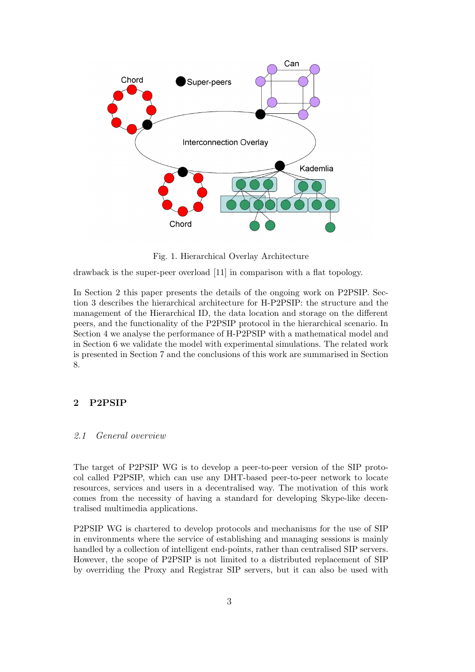

Fig. 1. Hierarchical Overlay Architecture

drawback is the super-peer overload [11] in comparison with a flat topology.

In Section 2 this paper presents the details of the ongoing work on P2PSIP. Section 3 describes the hierarchical architecture for H-P2PSIP: the structure and the management of the Hierarchical ID, the data location and storage on the different peers, and the functionality of the P2PSIP protocol in the hierarchical scenario. In Section 4 we analyse the performance of H-P2PSIP with a mathematical model and in Section 6 we validate the model with experimental simulations. The related work is presented in Section 7 and the conclusions of this work are summarised in Section 8.

# 2 P2PSIP

## 2.1 General overview

The target of P2PSIP WG is to develop a peer-to-peer version of the SIP protocol called P2PSIP, which can use any DHT-based peer-to-peer network to locate resources, services and users in a decentralised way. The motivation of this work comes from the necessity of having a standard for developing Skype-like decentralised multimedia applications.

P2PSIP WG is chartered to develop protocols and mechanisms for the use of SIP in environments where the service of establishing and managing sessions is mainly handled by a collection of intelligent end-points, rather than centralised SIP servers. However, the scope of P2PSIP is not limited to a distributed replacement of SIP by overriding the Proxy and Registrar SIP servers, but it can also be used with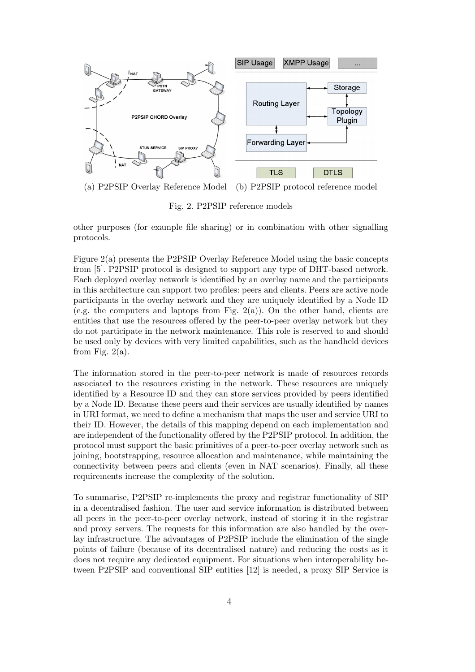

(a) P2PSIP Overlay Reference Model (b) P2PSIP protocol reference model

Fig. 2. P2PSIP reference models

other purposes (for example file sharing) or in combination with other signalling protocols.

Figure 2(a) presents the P2PSIP Overlay Reference Model using the basic concepts from [5]. P2PSIP protocol is designed to support any type of DHT-based network. Each deployed overlay network is identified by an overlay name and the participants in this architecture can support two profiles: peers and clients. Peers are active node participants in the overlay network and they are uniquely identified by a Node ID (e.g. the computers and laptops from Fig.  $2(a)$ ). On the other hand, clients are entities that use the resources offered by the peer-to-peer overlay network but they do not participate in the network maintenance. This role is reserved to and should be used only by devices with very limited capabilities, such as the handheld devices from Fig.  $2(a)$ .

The information stored in the peer-to-peer network is made of resources records associated to the resources existing in the network. These resources are uniquely identified by a Resource ID and they can store services provided by peers identified by a Node ID. Because these peers and their services are usually identified by names in URI format, we need to define a mechanism that maps the user and service URI to their ID. However, the details of this mapping depend on each implementation and are independent of the functionality offered by the P2PSIP protocol. In addition, the protocol must support the basic primitives of a peer-to-peer overlay network such as joining, bootstrapping, resource allocation and maintenance, while maintaining the connectivity between peers and clients (even in NAT scenarios). Finally, all these requirements increase the complexity of the solution.

To summarise, P2PSIP re-implements the proxy and registrar functionality of SIP in a decentralised fashion. The user and service information is distributed between all peers in the peer-to-peer overlay network, instead of storing it in the registrar and proxy servers. The requests for this information are also handled by the overlay infrastructure. The advantages of P2PSIP include the elimination of the single points of failure (because of its decentralised nature) and reducing the costs as it does not require any dedicated equipment. For situations when interoperability between P2PSIP and conventional SIP entities [12] is needed, a proxy SIP Service is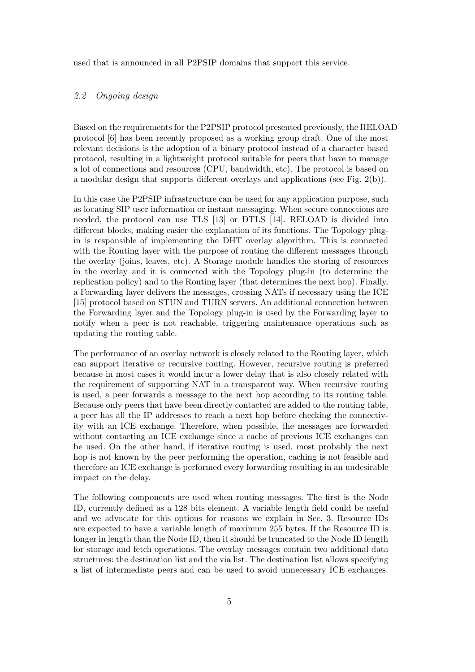used that is announced in all P2PSIP domains that support this service.

#### 2.2 Ongoing design

Based on the requirements for the P2PSIP protocol presented previously, the RELOAD protocol [6] has been recently proposed as a working group draft. One of the most relevant decisions is the adoption of a binary protocol instead of a character based protocol, resulting in a lightweight protocol suitable for peers that have to manage a lot of connections and resources (CPU, bandwidth, etc). The protocol is based on a modular design that supports different overlays and applications (see Fig. 2(b)).

In this case the P2PSIP infrastructure can be used for any application purpose, such as locating SIP user information or instant messaging. When secure connections are needed, the protocol can use TLS [13] or DTLS [14]. RELOAD is divided into different blocks, making easier the explanation of its functions. The Topology plugin is responsible of implementing the DHT overlay algorithm. This is connected with the Routing layer with the purpose of routing the different messages through the overlay (joins, leaves, etc). A Storage module handles the storing of resources in the overlay and it is connected with the Topology plug-in (to determine the replication policy) and to the Routing layer (that determines the next hop). Finally, a Forwarding layer delivers the messages, crossing NATs if necessary using the ICE [15] protocol based on STUN and TURN servers. An additional connection between the Forwarding layer and the Topology plug-in is used by the Forwarding layer to notify when a peer is not reachable, triggering maintenance operations such as updating the routing table.

The performance of an overlay network is closely related to the Routing layer, which can support iterative or recursive routing. However, recursive routing is preferred because in most cases it would incur a lower delay that is also closely related with the requirement of supporting NAT in a transparent way. When recursive routing is used, a peer forwards a message to the next hop according to its routing table. Because only peers that have been directly contacted are added to the routing table, a peer has all the IP addresses to reach a next hop before checking the connectivity with an ICE exchange. Therefore, when possible, the messages are forwarded without contacting an ICE exchange since a cache of previous ICE exchanges can be used. On the other hand, if iterative routing is used, most probably the next hop is not known by the peer performing the operation, caching is not feasible and therefore an ICE exchange is performed every forwarding resulting in an undesirable impact on the delay.

The following components are used when routing messages. The first is the Node ID, currently defined as a 128 bits element. A variable length field could be useful and we advocate for this options for reasons we explain in Sec. 3. Resource IDs are expected to have a variable length of maximum 255 bytes. If the Resource ID is longer in length than the Node ID, then it should be truncated to the Node ID length for storage and fetch operations. The overlay messages contain two additional data structures: the destination list and the via list. The destination list allows specifying a list of intermediate peers and can be used to avoid unnecessary ICE exchanges.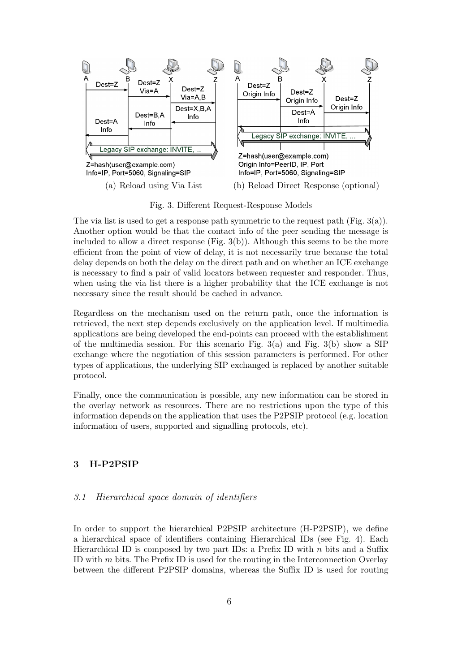

Fig. 3. Different Request-Response Models

The via list is used to get a response path symmetric to the request path (Fig. 3(a)). Another option would be that the contact info of the peer sending the message is included to allow a direct response (Fig.  $3(b)$ ). Although this seems to be the more efficient from the point of view of delay, it is not necessarily true because the total delay depends on both the delay on the direct path and on whether an ICE exchange is necessary to find a pair of valid locators between requester and responder. Thus, when using the via list there is a higher probability that the ICE exchange is not necessary since the result should be cached in advance.

Regardless on the mechanism used on the return path, once the information is retrieved, the next step depends exclusively on the application level. If multimedia applications are being developed the end-points can proceed with the establishment of the multimedia session. For this scenario Fig. 3(a) and Fig. 3(b) show a SIP exchange where the negotiation of this session parameters is performed. For other types of applications, the underlying SIP exchanged is replaced by another suitable protocol.

Finally, once the communication is possible, any new information can be stored in the overlay network as resources. There are no restrictions upon the type of this information depends on the application that uses the P2PSIP protocol (e.g. location information of users, supported and signalling protocols, etc).

#### 3 H-P2PSIP

#### 3.1 Hierarchical space domain of identifiers

In order to support the hierarchical P2PSIP architecture (H-P2PSIP), we define a hierarchical space of identifiers containing Hierarchical IDs (see Fig. 4). Each Hierarchical ID is composed by two part IDs: a Prefix ID with  $n$  bits and a Suffix ID with  $m$  bits. The Prefix ID is used for the routing in the Interconnection Overlay between the different P2PSIP domains, whereas the Suffix ID is used for routing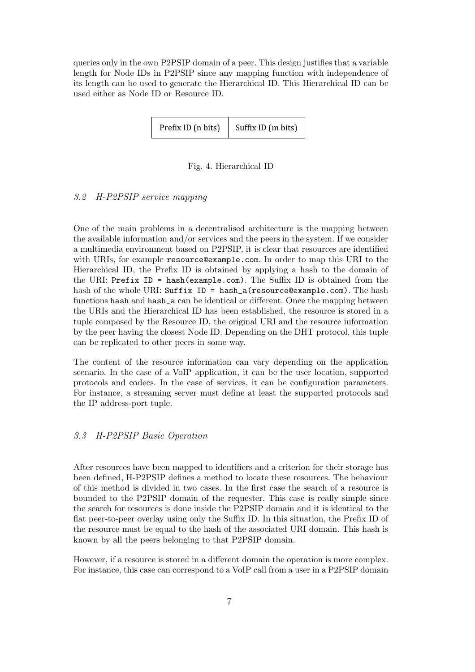queries only in the own P2PSIP domain of a peer. This design justifies that a variable length for Node IDs in P2PSIP since any mapping function with independence of its length can be used to generate the Hierarchical ID. This Hierarchical ID can be used either as Node ID or Resource ID.



#### Fig. 4. Hierarchical ID

#### 3.2 H-P2PSIP service mapping

One of the main problems in a decentralised architecture is the mapping between the available information and/or services and the peers in the system. If we consider a multimedia environment based on P2PSIP, it is clear that resources are identified with URIs, for example resource@example.com. In order to map this URI to the Hierarchical ID, the Prefix ID is obtained by applying a hash to the domain of the URI: Prefix ID = hash(example.com). The Suffix ID is obtained from the hash of the whole URI: Suffix ID = hash\_a(resource@example.com). The hash functions hash and hash\_a can be identical or different. Once the mapping between the URIs and the Hierarchical ID has been established, the resource is stored in a tuple composed by the Resource ID, the original URI and the resource information by the peer having the closest Node ID. Depending on the DHT protocol, this tuple can be replicated to other peers in some way.

The content of the resource information can vary depending on the application scenario. In the case of a VoIP application, it can be the user location, supported protocols and codecs. In the case of services, it can be configuration parameters. For instance, a streaming server must define at least the supported protocols and the IP address-port tuple.

## 3.3 H-P2PSIP Basic Operation

After resources have been mapped to identifiers and a criterion for their storage has been defined, H-P2PSIP defines a method to locate these resources. The behaviour of this method is divided in two cases. In the first case the search of a resource is bounded to the P2PSIP domain of the requester. This case is really simple since the search for resources is done inside the P2PSIP domain and it is identical to the flat peer-to-peer overlay using only the Suffix ID. In this situation, the Prefix ID of the resource must be equal to the hash of the associated URI domain. This hash is known by all the peers belonging to that P2PSIP domain.

However, if a resource is stored in a different domain the operation is more complex. For instance, this case can correspond to a VoIP call from a user in a P2PSIP domain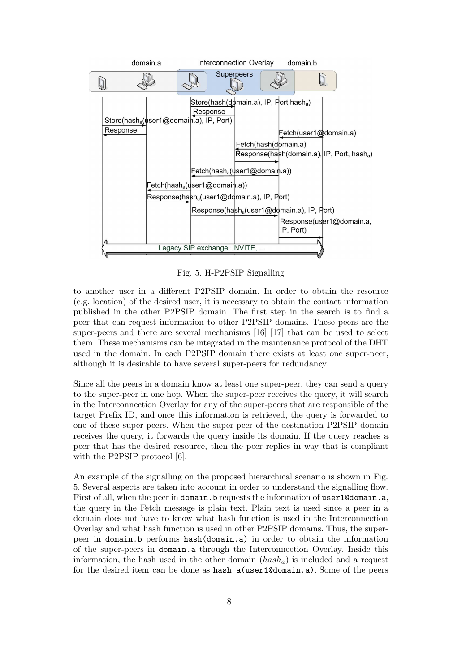

Fig. 5. H-P2PSIP Signalling

to another user in a different P2PSIP domain. In order to obtain the resource (e.g. location) of the desired user, it is necessary to obtain the contact information published in the other P2PSIP domain. The first step in the search is to find a peer that can request information to other P2PSIP domains. These peers are the super-peers and there are several mechanisms [16] [17] that can be used to select them. These mechanisms can be integrated in the maintenance protocol of the DHT used in the domain. In each P2PSIP domain there exists at least one super-peer, although it is desirable to have several super-peers for redundancy.

Since all the peers in a domain know at least one super-peer, they can send a query to the super-peer in one hop. When the super-peer receives the query, it will search in the Interconnection Overlay for any of the super-peers that are responsible of the target Prefix ID, and once this information is retrieved, the query is forwarded to one of these super-peers. When the super-peer of the destination P2PSIP domain receives the query, it forwards the query inside its domain. If the query reaches a peer that has the desired resource, then the peer replies in way that is compliant with the P2PSIP protocol [6].

An example of the signalling on the proposed hierarchical scenario is shown in Fig. 5. Several aspects are taken into account in order to understand the signalling flow. First of all, when the peer in domain.b requests the information of user1@domain.a, the query in the Fetch message is plain text. Plain text is used since a peer in a domain does not have to know what hash function is used in the Interconnection Overlay and what hash function is used in other P2PSIP domains. Thus, the superpeer in domain.b performs hash(domain.a) in order to obtain the information of the super-peers in domain.a through the Interconnection Overlay. Inside this information, the hash used in the other domain  $(hash_a)$  is included and a request for the desired item can be done as hash\_a(user1@domain.a). Some of the peers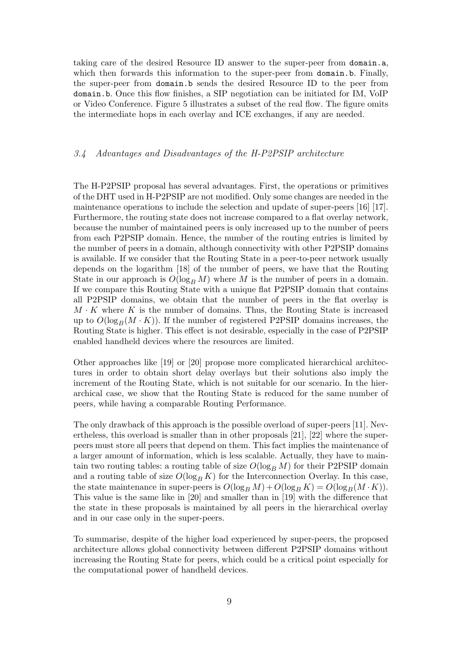taking care of the desired Resource ID answer to the super-peer from domain.a, which then forwards this information to the super-peer from **domain.b.** Finally, the super-peer from domain.b sends the desired Resource ID to the peer from domain.b. Once this flow finishes, a SIP negotiation can be initiated for IM, VoIP or Video Conference. Figure 5 illustrates a subset of the real flow. The figure omits the intermediate hops in each overlay and ICE exchanges, if any are needed.

## 3.4 Advantages and Disadvantages of the H-P2PSIP architecture

The H-P2PSIP proposal has several advantages. First, the operations or primitives of the DHT used in H-P2PSIP are not modified. Only some changes are needed in the maintenance operations to include the selection and update of super-peers [16] [17]. Furthermore, the routing state does not increase compared to a flat overlay network, because the number of maintained peers is only increased up to the number of peers from each P2PSIP domain. Hence, the number of the routing entries is limited by the number of peers in a domain, although connectivity with other P2PSIP domains is available. If we consider that the Routing State in a peer-to-peer network usually depends on the logarithm [18] of the number of peers, we have that the Routing State in our approach is  $O(\log_B M)$  where M is the number of peers in a domain. If we compare this Routing State with a unique flat P2PSIP domain that contains all P2PSIP domains, we obtain that the number of peers in the flat overlay is  $M \cdot K$  where K is the number of domains. Thus, the Routing State is increased up to  $O(\log_B(M \cdot K))$ . If the number of registered P2PSIP domains increases, the Routing State is higher. This effect is not desirable, especially in the case of P2PSIP enabled handheld devices where the resources are limited.

Other approaches like [19] or [20] propose more complicated hierarchical architectures in order to obtain short delay overlays but their solutions also imply the increment of the Routing State, which is not suitable for our scenario. In the hierarchical case, we show that the Routing State is reduced for the same number of peers, while having a comparable Routing Performance.

The only drawback of this approach is the possible overload of super-peers [11]. Nevertheless, this overload is smaller than in other proposals [21], [22] where the superpeers must store all peers that depend on them. This fact implies the maintenance of a larger amount of information, which is less scalable. Actually, they have to maintain two routing tables: a routing table of size  $O(\log_B M)$  for their P2PSIP domain and a routing table of size  $O(\log_B K)$  for the Interconnection Overlay. In this case, the state maintenance in super-peers is  $O(\log_B M) + O(\log_B K) = O(\log_B (M \cdot K)).$ This value is the same like in [20] and smaller than in [19] with the difference that the state in these proposals is maintained by all peers in the hierarchical overlay and in our case only in the super-peers.

To summarise, despite of the higher load experienced by super-peers, the proposed architecture allows global connectivity between different P2PSIP domains without increasing the Routing State for peers, which could be a critical point especially for the computational power of handheld devices.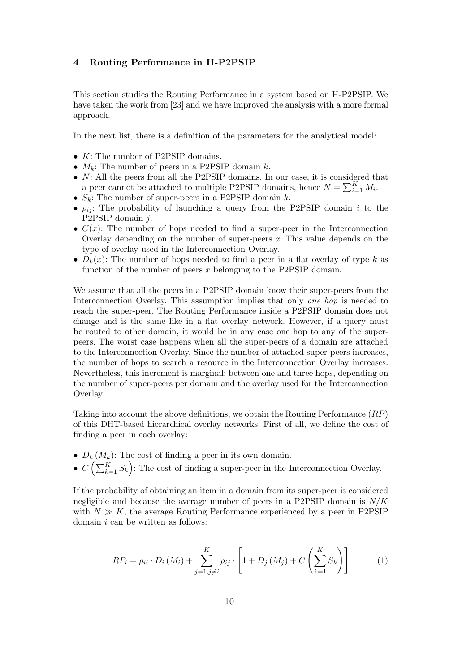## 4 Routing Performance in H-P2PSIP

This section studies the Routing Performance in a system based on H-P2PSIP. We have taken the work from [23] and we have improved the analysis with a more formal approach.

In the next list, there is a definition of the parameters for the analytical model:

- K: The number of P2PSIP domains.
- $M_k$ : The number of peers in a P2PSIP domain k.
- $\bullet$  N: All the peers from all the P2PSIP domains. In our case, it is considered that a peer cannot be attached to multiple P2PSIP domains, hence  $N = \sum_{i=1}^{K} M_i$ .
- $S_k$ : The number of super-peers in a P2PSIP domain k.
- $\rho_{ii}$ : The probability of launching a query from the P2PSIP domain i to the P2PSIP domain j.
- $C(x)$ : The number of hops needed to find a super-peer in the Interconnection Overlay depending on the number of super-peers  $x$ . This value depends on the type of overlay used in the Interconnection Overlay.
- $D_k(x)$ : The number of hops needed to find a peer in a flat overlay of type k as function of the number of peers  $x$  belonging to the P2PSIP domain.

We assume that all the peers in a P2PSIP domain know their super-peers from the Interconnection Overlay. This assumption implies that only one hop is needed to reach the super-peer. The Routing Performance inside a P2PSIP domain does not change and is the same like in a flat overlay network. However, if a query must be routed to other domain, it would be in any case one hop to any of the superpeers. The worst case happens when all the super-peers of a domain are attached to the Interconnection Overlay. Since the number of attached super-peers increases, the number of hops to search a resource in the Interconnection Overlay increases. Nevertheless, this increment is marginal: between one and three hops, depending on the number of super-peers per domain and the overlay used for the Interconnection Overlay.

Taking into account the above definitions, we obtain the Routing Performance  $(RP)$ of this DHT-based hierarchical overlay networks. First of all, we define the cost of finding a peer in each overlay:

- $D_k (M_k)$ : The cost of finding a peer in its own domain.
- $C\left(\sum_{k=1}^K S_k\right)$ : The cost of finding a super-peer in the Interconnection Overlay.

If the probability of obtaining an item in a domain from its super-peer is considered negligible and because the average number of peers in a P2PSIP domain is  $N/K$ with  $N \gg K$ , the average Routing Performance experienced by a peer in P2PSIP domain i can be written as follows:

$$
RP_i = \rho_{ii} \cdot D_i \left( M_i \right) + \sum_{j=1, j \neq i}^{K} \rho_{ij} \cdot \left[ 1 + D_j \left( M_j \right) + C \left( \sum_{k=1}^{K} S_k \right) \right] \tag{1}
$$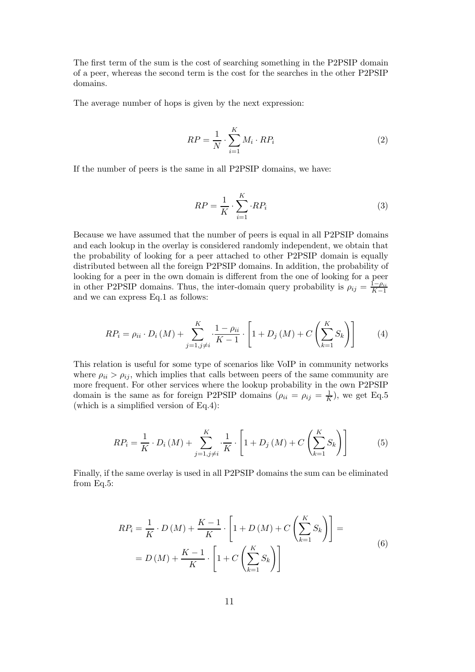The first term of the sum is the cost of searching something in the P2PSIP domain of a peer, whereas the second term is the cost for the searches in the other P2PSIP domains.

The average number of hops is given by the next expression:

$$
RP = \frac{1}{N} \cdot \sum_{i=1}^{K} M_i \cdot RP_i \tag{2}
$$

If the number of peers is the same in all P2PSIP domains, we have:

$$
RP = \frac{1}{K} \cdot \sum_{i=1}^{K} \cdot RP_i \tag{3}
$$

Because we have assumed that the number of peers is equal in all P2PSIP domains and each lookup in the overlay is considered randomly independent, we obtain that the probability of looking for a peer attached to other P2PSIP domain is equally distributed between all the foreign P2PSIP domains. In addition, the probability of looking for a peer in the own domain is different from the one of looking for a peer in other P2PSIP domains. Thus, the inter-domain query probability is  $\rho_{ij} = \frac{1-\rho_{ii}}{K-1}$  $K-1$ and we can express Eq.1 as follows:

$$
RP_i = \rho_{ii} \cdot D_i \left( M \right) + \sum_{j=1, j \neq i}^{K} \frac{1 - \rho_{ii}}{K - 1} \cdot \left[ 1 + D_j \left( M \right) + C \left( \sum_{k=1}^{K} S_k \right) \right] \tag{4}
$$

This relation is useful for some type of scenarios like VoIP in community networks where  $\rho_{ii} > \rho_{ii}$ , which implies that calls between peers of the same community are more frequent. For other services where the lookup probability in the own P2PSIP domain is the same as for foreign P2PSIP domains  $(\rho_{ii} = \rho_{ij} = \frac{1}{K})$ , we get Eq.5 (which is a simplified version of Eq.4):

$$
RP_i = \frac{1}{K} \cdot D_i(M) + \sum_{j=1, j \neq i}^{K} \cdot \frac{1}{K} \cdot \left[ 1 + D_j(M) + C\left(\sum_{k=1}^{K} S_k\right) \right]
$$
(5)

Finally, if the same overlay is used in all P2PSIP domains the sum can be eliminated from Eq.5:

$$
RP_i = \frac{1}{K} \cdot D(M) + \frac{K-1}{K} \cdot \left[ 1 + D(M) + C\left(\sum_{k=1}^K S_k\right) \right] =
$$
  
= 
$$
D(M) + \frac{K-1}{K} \cdot \left[ 1 + C\left(\sum_{k=1}^K S_k\right) \right]
$$
 (6)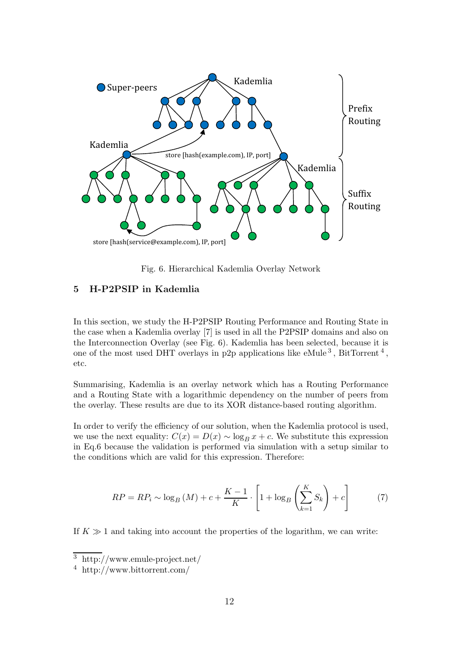

Fig. 6. Hierarchical Kademlia Overlay Network

# 5 H-P2PSIP in Kademlia

In this section, we study the H-P2PSIP Routing Performance and Routing State in the case when a Kademlia overlay [7] is used in all the P2PSIP domains and also on the Interconnection Overlay (see Fig. 6). Kademlia has been selected, because it is one of the most used DHT overlays in p2p applications like eMule<sup>3</sup>, BitTorrent<sup>4</sup>, etc.

Summarising, Kademlia is an overlay network which has a Routing Performance and a Routing State with a logarithmic dependency on the number of peers from the overlay. These results are due to its XOR distance-based routing algorithm.

In order to verify the efficiency of our solution, when the Kademlia protocol is used, we use the next equality:  $C(x) = D(x) \sim \log_B x + c$ . We substitute this expression in Eq.6 because the validation is performed via simulation with a setup similar to the conditions which are valid for this expression. Therefore:

$$
RP = RP_i \sim \log_B(M) + c + \frac{K-1}{K} \cdot \left[1 + \log_B\left(\sum_{k=1}^K S_k\right) + c\right] \tag{7}
$$

If  $K \gg 1$  and taking into account the properties of the logarithm, we can write:

<sup>3</sup> http://www.emule-project.net/

<sup>4</sup> http://www.bittorrent.com/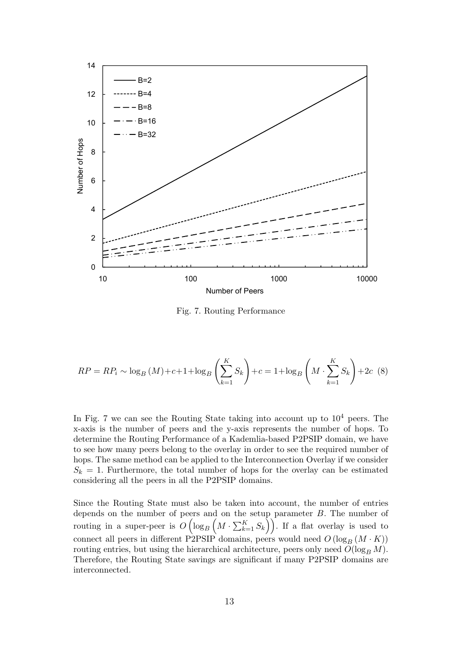

Fig. 7. Routing Performance

$$
RP = RP_i \sim \log_B(M) + c + 1 + \log_B\left(\sum_{k=1}^{K} S_k\right) + c = 1 + \log_B\left(M \cdot \sum_{k=1}^{K} S_k\right) + 2c \tag{8}
$$

In Fig. 7 we can see the Routing State taking into account up to  $10^4$  peers. The x-axis is the number of peers and the y-axis represents the number of hops. To determine the Routing Performance of a Kademlia-based P2PSIP domain, we have to see how many peers belong to the overlay in order to see the required number of hops. The same method can be applied to the Interconnection Overlay if we consider  $S_k = 1$ . Furthermore, the total number of hops for the overlay can be estimated considering all the peers in all the P2PSIP domains.

Since the Routing State must also be taken into account, the number of entries depends on the number of peers and on the setup parameter B. The number of routing in a super-peer is  $O\left(\log_B\left(M\cdot\sum_{k=1}^K S_k\right)\right)$ . If a flat overlay is used to connect all peers in different P2PSIP domains, peers would need  $O(\log_B (M \cdot K))$ routing entries, but using the hierarchical architecture, peers only need  $O(\log_B M)$ . Therefore, the Routing State savings are significant if many P2PSIP domains are interconnected.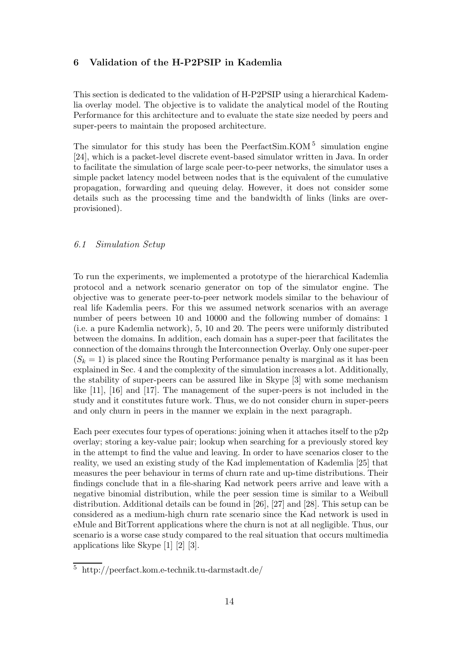# 6 Validation of the H-P2PSIP in Kademlia

This section is dedicated to the validation of H-P2PSIP using a hierarchical Kademlia overlay model. The objective is to validate the analytical model of the Routing Performance for this architecture and to evaluate the state size needed by peers and super-peers to maintain the proposed architecture.

The simulator for this study has been the PeerfactSim.KOM<sup>5</sup> simulation engine [24], which is a packet-level discrete event-based simulator written in Java. In order to facilitate the simulation of large scale peer-to-peer networks, the simulator uses a simple packet latency model between nodes that is the equivalent of the cumulative propagation, forwarding and queuing delay. However, it does not consider some details such as the processing time and the bandwidth of links (links are overprovisioned).

#### 6.1 Simulation Setup

To run the experiments, we implemented a prototype of the hierarchical Kademlia protocol and a network scenario generator on top of the simulator engine. The objective was to generate peer-to-peer network models similar to the behaviour of real life Kademlia peers. For this we assumed network scenarios with an average number of peers between 10 and 10000 and the following number of domains: 1 (i.e. a pure Kademlia network), 5, 10 and 20. The peers were uniformly distributed between the domains. In addition, each domain has a super-peer that facilitates the connection of the domains through the Interconnection Overlay. Only one super-peer  $(S_k = 1)$  is placed since the Routing Performance penalty is marginal as it has been explained in Sec. 4 and the complexity of the simulation increases a lot. Additionally, the stability of super-peers can be assured like in Skype [3] with some mechanism like [11], [16] and [17]. The management of the super-peers is not included in the study and it constitutes future work. Thus, we do not consider churn in super-peers and only churn in peers in the manner we explain in the next paragraph.

Each peer executes four types of operations: joining when it attaches itself to the p2p overlay; storing a key-value pair; lookup when searching for a previously stored key in the attempt to find the value and leaving. In order to have scenarios closer to the reality, we used an existing study of the Kad implementation of Kademlia [25] that measures the peer behaviour in terms of churn rate and up-time distributions. Their findings conclude that in a file-sharing Kad network peers arrive and leave with a negative binomial distribution, while the peer session time is similar to a Weibull distribution. Additional details can be found in [26], [27] and [28]. This setup can be considered as a medium-high churn rate scenario since the Kad network is used in eMule and BitTorrent applications where the churn is not at all negligible. Thus, our scenario is a worse case study compared to the real situation that occurs multimedia applications like Skype [1] [2] [3].

 $\frac{5 \text{ http://peerfact.kom.e-technik.tu-darmstadt.de/}}{5 \text{http://peerfact.kom.e-technik.tu-darmstadt.de/}}$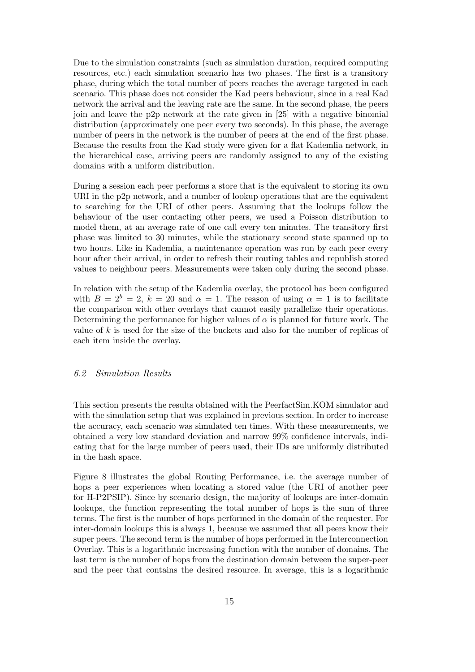Due to the simulation constraints (such as simulation duration, required computing resources, etc.) each simulation scenario has two phases. The first is a transitory phase, during which the total number of peers reaches the average targeted in each scenario. This phase does not consider the Kad peers behaviour, since in a real Kad network the arrival and the leaving rate are the same. In the second phase, the peers join and leave the p2p network at the rate given in [25] with a negative binomial distribution (approximately one peer every two seconds). In this phase, the average number of peers in the network is the number of peers at the end of the first phase. Because the results from the Kad study were given for a flat Kademlia network, in the hierarchical case, arriving peers are randomly assigned to any of the existing domains with a uniform distribution.

During a session each peer performs a store that is the equivalent to storing its own URI in the p2p network, and a number of lookup operations that are the equivalent to searching for the URI of other peers. Assuming that the lookups follow the behaviour of the user contacting other peers, we used a Poisson distribution to model them, at an average rate of one call every ten minutes. The transitory first phase was limited to 30 minutes, while the stationary second state spanned up to two hours. Like in Kademlia, a maintenance operation was run by each peer every hour after their arrival, in order to refresh their routing tables and republish stored values to neighbour peers. Measurements were taken only during the second phase.

In relation with the setup of the Kademlia overlay, the protocol has been configured with  $B = 2^b = 2$ ,  $k = 20$  and  $\alpha = 1$ . The reason of using  $\alpha = 1$  is to facilitate the comparison with other overlays that cannot easily parallelize their operations. Determining the performance for higher values of  $\alpha$  is planned for future work. The value of  $k$  is used for the size of the buckets and also for the number of replicas of each item inside the overlay.

## 6.2 Simulation Results

This section presents the results obtained with the PeerfactSim.KOM simulator and with the simulation setup that was explained in previous section. In order to increase the accuracy, each scenario was simulated ten times. With these measurements, we obtained a very low standard deviation and narrow 99% confidence intervals, indicating that for the large number of peers used, their IDs are uniformly distributed in the hash space.

Figure 8 illustrates the global Routing Performance, i.e. the average number of hops a peer experiences when locating a stored value (the URI of another peer for H-P2PSIP). Since by scenario design, the majority of lookups are inter-domain lookups, the function representing the total number of hops is the sum of three terms. The first is the number of hops performed in the domain of the requester. For inter-domain lookups this is always 1, because we assumed that all peers know their super peers. The second term is the number of hops performed in the Interconnection Overlay. This is a logarithmic increasing function with the number of domains. The last term is the number of hops from the destination domain between the super-peer and the peer that contains the desired resource. In average, this is a logarithmic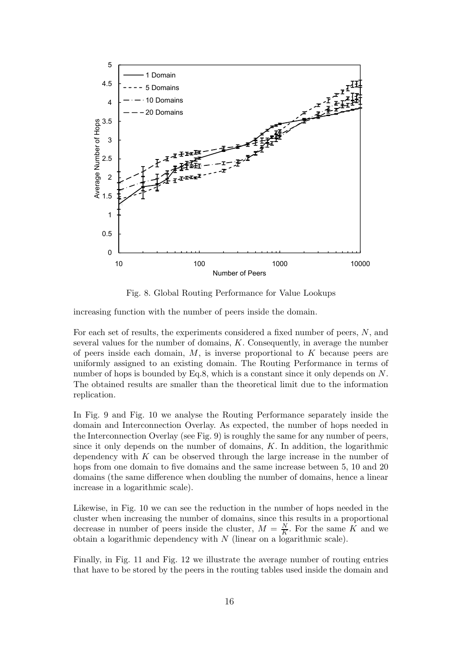

Fig. 8. Global Routing Performance for Value Lookups

increasing function with the number of peers inside the domain.

For each set of results, the experiments considered a fixed number of peers, N, and several values for the number of domains, K. Consequently, in average the number of peers inside each domain,  $M$ , is inverse proportional to  $K$  because peers are uniformly assigned to an existing domain. The Routing Performance in terms of number of hops is bounded by Eq.8, which is a constant since it only depends on N. The obtained results are smaller than the theoretical limit due to the information replication.

In Fig. 9 and Fig. 10 we analyse the Routing Performance separately inside the domain and Interconnection Overlay. As expected, the number of hops needed in the Interconnection Overlay (see Fig. 9) is roughly the same for any number of peers, since it only depends on the number of domains,  $K$ . In addition, the logarithmic dependency with  $K$  can be observed through the large increase in the number of hops from one domain to five domains and the same increase between 5, 10 and 20 domains (the same difference when doubling the number of domains, hence a linear increase in a logarithmic scale).

Likewise, in Fig. 10 we can see the reduction in the number of hops needed in the cluster when increasing the number of domains, since this results in a proportional decrease in number of peers inside the cluster,  $M = \frac{N}{K}$ . For the same K and we obtain a logarithmic dependency with  $N$  (linear on a logarithmic scale).

Finally, in Fig. 11 and Fig. 12 we illustrate the average number of routing entries that have to be stored by the peers in the routing tables used inside the domain and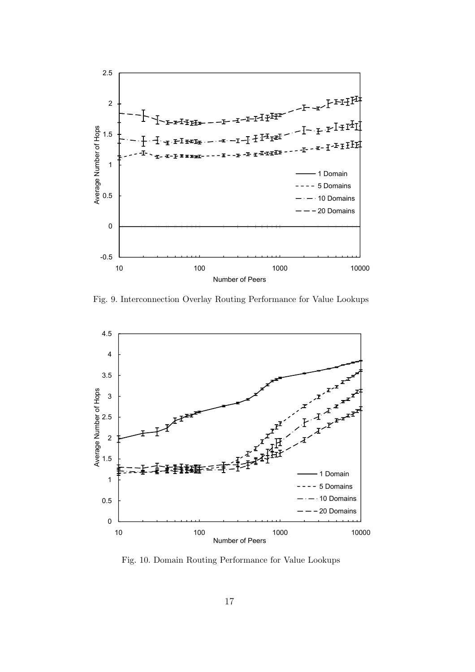

Fig. 9. Interconnection Overlay Routing Performance for Value Lookups



Fig. 10. Domain Routing Performance for Value Lookups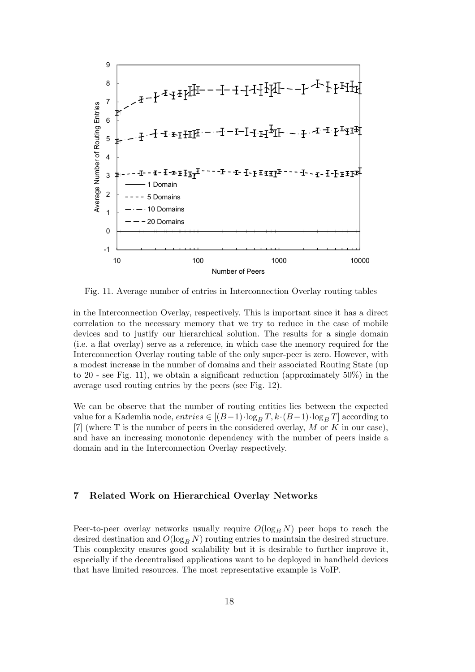

Fig. 11. Average number of entries in Interconnection Overlay routing tables

in the Interconnection Overlay, respectively. This is important since it has a direct correlation to the necessary memory that we try to reduce in the case of mobile devices and to justify our hierarchical solution. The results for a single domain (i.e. a flat overlay) serve as a reference, in which case the memory required for the Interconnection Overlay routing table of the only super-peer is zero. However, with a modest increase in the number of domains and their associated Routing State (up to 20 - see Fig. 11), we obtain a significant reduction (approximately  $50\%$ ) in the average used routing entries by the peers (see Fig. 12).

We can be observe that the number of routing entities lies between the expected value for a Kademlia node,  $entries \in [(B-1)\cdot \log_B T, k\cdot (B-1)\cdot \log_B T]$  according to [7] (where T is the number of peers in the considered overlay,  $M$  or  $K$  in our case), and have an increasing monotonic dependency with the number of peers inside a domain and in the Interconnection Overlay respectively.

## 7 Related Work on Hierarchical Overlay Networks

Peer-to-peer overlay networks usually require  $O(\log_B N)$  peer hops to reach the desired destination and  $O(\log_B N)$  routing entries to maintain the desired structure. This complexity ensures good scalability but it is desirable to further improve it, especially if the decentralised applications want to be deployed in handheld devices that have limited resources. The most representative example is VoIP.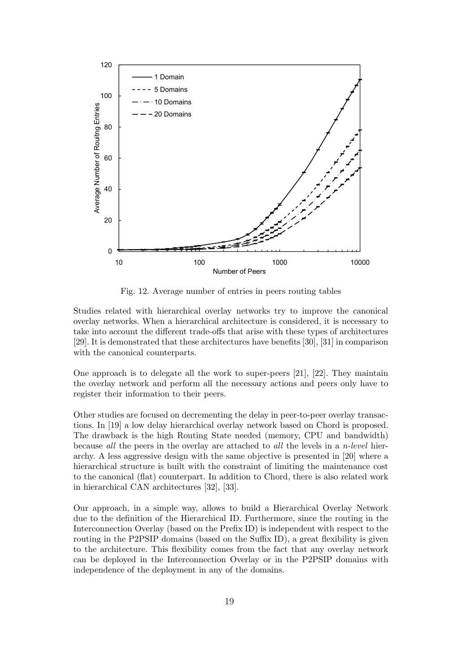

Fig. 12. Average number of entries in peers routing tables

Studies related with hierarchical overlay networks try to improve the canonical overlay networks. When a hierarchical architecture is considered, it is necessary to take into account the different trade-offs that arise with these types of architectures [29]. It is demonstrated that these architectures have benefits [30], [31] in comparison with the canonical counterparts.

One approach is to delegate all the work to super-peers [21], [22]. They maintain the overlay network and perform all the necessary actions and peers only have to register their information to their peers.

Other studies are focused on decrementing the delay in peer-to-peer overlay transactions. In [19] a low delay hierarchical overlay network based on Chord is proposed. The drawback is the high Routing State needed (memory, CPU and bandwidth) because all the peers in the overlay are attached to all the levels in a n-level hierarchy. A less aggressive design with the same objective is presented in [20] where a hierarchical structure is built with the constraint of limiting the maintenance cost to the canonical (flat) counterpart. In addition to Chord, there is also related work in hierarchical CAN architectures [32], [33].

Our approach, in a simple way, allows to build a Hierarchical Overlay Network due to the definition of the Hierarchical ID. Furthermore, since the routing in the Interconnection Overlay (based on the Prefix ID) is independent with respect to the routing in the P2PSIP domains (based on the Suffix ID), a great flexibility is given to the architecture. This flexibility comes from the fact that any overlay network can be deployed in the Interconnection Overlay or in the P2PSIP domains with independence of the deployment in any of the domains.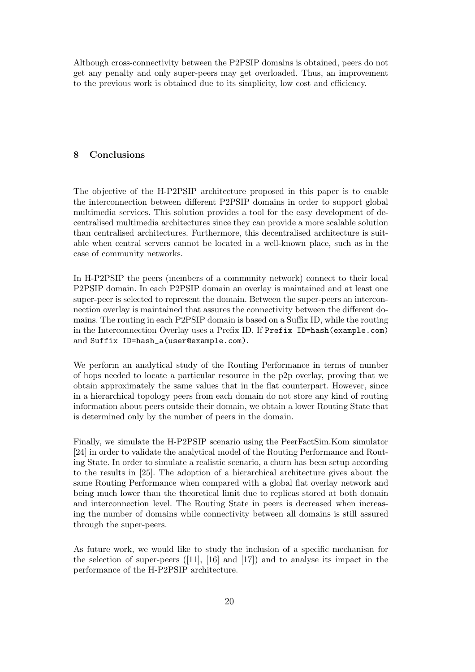Although cross-connectivity between the P2PSIP domains is obtained, peers do not get any penalty and only super-peers may get overloaded. Thus, an improvement to the previous work is obtained due to its simplicity, low cost and efficiency.

# 8 Conclusions

The objective of the H-P2PSIP architecture proposed in this paper is to enable the interconnection between different P2PSIP domains in order to support global multimedia services. This solution provides a tool for the easy development of decentralised multimedia architectures since they can provide a more scalable solution than centralised architectures. Furthermore, this decentralised architecture is suitable when central servers cannot be located in a well-known place, such as in the case of community networks.

In H-P2PSIP the peers (members of a community network) connect to their local P2PSIP domain. In each P2PSIP domain an overlay is maintained and at least one super-peer is selected to represent the domain. Between the super-peers an interconnection overlay is maintained that assures the connectivity between the different domains. The routing in each P2PSIP domain is based on a Suffix ID, while the routing in the Interconnection Overlay uses a Prefix ID. If Prefix ID=hash(example.com) and Suffix ID=hash\_a(user@example.com).

We perform an analytical study of the Routing Performance in terms of number of hops needed to locate a particular resource in the p2p overlay, proving that we obtain approximately the same values that in the flat counterpart. However, since in a hierarchical topology peers from each domain do not store any kind of routing information about peers outside their domain, we obtain a lower Routing State that is determined only by the number of peers in the domain.

Finally, we simulate the H-P2PSIP scenario using the PeerFactSim.Kom simulator [24] in order to validate the analytical model of the Routing Performance and Routing State. In order to simulate a realistic scenario, a churn has been setup according to the results in [25]. The adoption of a hierarchical architecture gives about the same Routing Performance when compared with a global flat overlay network and being much lower than the theoretical limit due to replicas stored at both domain and interconnection level. The Routing State in peers is decreased when increasing the number of domains while connectivity between all domains is still assured through the super-peers.

As future work, we would like to study the inclusion of a specific mechanism for the selection of super-peers  $([11], [16] \text{ and } [17])$  and to analyse its impact in the performance of the H-P2PSIP architecture.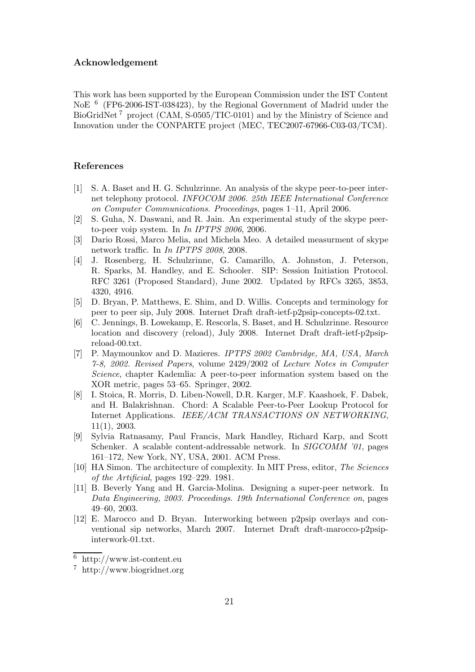## Acknowledgement

This work has been supported by the European Commission under the IST Content NoE<sup>6</sup> (FP6-2006-IST-038423), by the Regional Government of Madrid under the BioGridNet<sup>7</sup> project (CAM, S-0505/TIC-0101) and by the Ministry of Science and Innovation under the CONPARTE project (MEC, TEC2007-67966-C03-03/TCM).

## References

- [1] S. A. Baset and H. G. Schulzrinne. An analysis of the skype peer-to-peer internet telephony protocol. INFOCOM 2006. 25th IEEE International Conference on Computer Communications. Proceedings, pages 1–11, April 2006.
- [2] S. Guha, N. Daswani, and R. Jain. An experimental study of the skype peerto-peer voip system. In In IPTPS 2006, 2006.
- [3] Dario Rossi, Marco Melia, and Michela Meo. A detailed measurment of skype network traffic. In In IPTPS 2008, 2008.
- [4] J. Rosenberg, H. Schulzrinne, G. Camarillo, A. Johnston, J. Peterson, R. Sparks, M. Handley, and E. Schooler. SIP: Session Initiation Protocol. RFC 3261 (Proposed Standard), June 2002. Updated by RFCs 3265, 3853, 4320, 4916.
- [5] D. Bryan, P. Matthews, E. Shim, and D. Willis. Concepts and terminology for peer to peer sip, July 2008. Internet Draft draft-ietf-p2psip-concepts-02.txt.
- [6] C. Jennings, B. Lowekamp, E. Rescorla, S. Baset, and H. Schulzrinne. Resource location and discovery (reload), July 2008. Internet Draft draft-ietf-p2psipreload-00.txt.
- [7] P. Maymounkov and D. Mazieres. IPTPS 2002 Cambridge, MA, USA, March 7-8, 2002. Revised Papers, volume 2429/2002 of Lecture Notes in Computer Science, chapter Kademlia: A peer-to-peer information system based on the XOR metric, pages 53–65. Springer, 2002.
- [8] I. Stoica, R. Morris, D. Liben-Nowell, D.R. Karger, M.F. Kaashoek, F. Dabek, and H. Balakrishnan. Chord: A Scalable Peer-to-Peer Lookup Protocol for Internet Applications. IEEE/ACM TRANSACTIONS ON NETWORKING, 11(1), 2003.
- [9] Sylvia Ratnasamy, Paul Francis, Mark Handley, Richard Karp, and Scott Schenker. A scalable content-addressable network. In SIGCOMM '01, pages 161–172, New York, NY, USA, 2001. ACM Press.
- [10] HA Simon. The architecture of complexity. In MIT Press, editor, The Sciences of the Artificial, pages 192–229. 1981.
- [11] B. Beverly Yang and H. Garcia-Molina. Designing a super-peer network. In Data Engineering, 2003. Proceedings. 19th International Conference on, pages 49–60, 2003.
- [12] E. Marocco and D. Bryan. Interworking between p2psip overlays and conventional sip networks, March 2007. Internet Draft draft-marocco-p2psipinterwork-01.txt.

<sup>6</sup> http://www.ist-content.eu

<sup>7</sup> http://www.biogridnet.org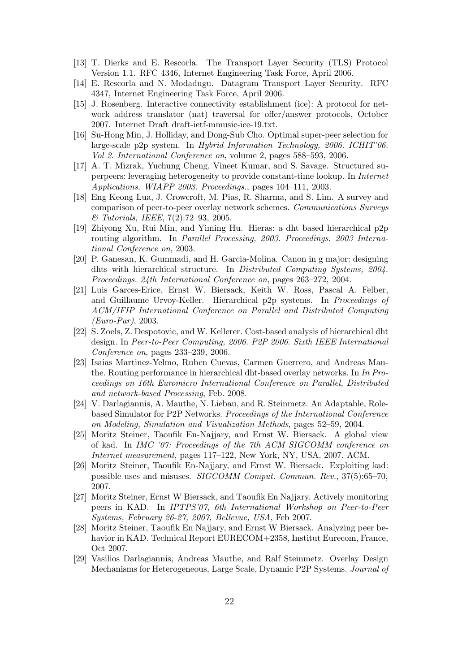- [13] T. Dierks and E. Rescorla. The Transport Layer Security (TLS) Protocol Version 1.1. RFC 4346, Internet Engineering Task Force, April 2006.
- [14] E. Rescorla and N. Modadugu. Datagram Transport Layer Security. RFC 4347, Internet Engineering Task Force, April 2006.
- [15] J. Rosenberg. Interactive connectivity establishment (ice): A protocol for network address translator (nat) traversal for offer/answer protocols, October 2007. Internet Draft draft-ietf-mmusic-ice-19.txt.
- [16] Su-Hong Min, J. Holliday, and Dong-Sub Cho. Optimal super-peer selection for large-scale p2p system. In Hybrid Information Technology, 2006. ICHIT'06. Vol 2. International Conference on, volume 2, pages 588–593, 2006.
- [17] A. T. Mizrak, Yuchung Cheng, Vineet Kumar, and S. Savage. Structured superpeers: leveraging heterogeneity to provide constant-time lookup. In Internet Applications. WIAPP 2003. Proceedings., pages 104–111, 2003.
- [18] Eng Keong Lua, J. Crowcroft, M. Pias, R. Sharma, and S. Lim. A survey and comparison of peer-to-peer overlay network schemes. Communications Surveys & Tutorials, IEEE, 7(2):72–93, 2005.
- [19] Zhiyong Xu, Rui Min, and Yiming Hu. Hieras: a dht based hierarchical p2p routing algorithm. In Parallel Processing, 2003. Proceedings. 2003 International Conference on, 2003.
- [20] P. Ganesan, K. Gummadi, and H. Garcia-Molina. Canon in g major: designing dhts with hierarchical structure. In Distributed Computing Systems, 2004. Proceedings. 24th International Conference on, pages 263–272, 2004.
- [21] Luis Garces-Erice, Ernst W. Biersack, Keith W. Ross, Pascal A. Felber, and Guillaume Urvoy-Keller. Hierarchical p2p systems. In Proceedings of ACM/IFIP International Conference on Parallel and Distributed Computing (Euro-Par), 2003.
- [22] S. Zoels, Z. Despotovic, and W. Kellerer. Cost-based analysis of hierarchical dht design. In Peer-to-Peer Computing, 2006. P2P 2006. Sixth IEEE International Conference on, pages 233–239, 2006.
- [23] Isaias Martinez-Yelmo, Ruben Cuevas, Carmen Guerrero, and Andreas Mauthe. Routing performance in hierarchical dht-based overlay networks. In In Proceedings on 16th Euromicro International Conference on Parallel, Distributed and network-based Processing, Feb. 2008.
- [24] V. Darlagiannis, A. Mauthe, N. Liebau, and R. Steinmetz. An Adaptable, Rolebased Simulator for P2P Networks. Proceedings of the International Conference on Modeling, Simulation and Visualization Methods, pages 52–59, 2004.
- [25] Moritz Steiner, Taoufik En-Najjary, and Ernst W. Biersack. A global view of kad. In IMC '07: Proceedings of the 7th ACM SIGCOMM conference on Internet measurement, pages 117–122, New York, NY, USA, 2007. ACM.
- [26] Moritz Steiner, Taoufik En-Najjary, and Ernst W. Biersack. Exploiting kad: possible uses and misuses. SIGCOMM Comput. Commun. Rev., 37(5):65–70, 2007.
- [27] Moritz Steiner, Ernst W Biersack, and Taoufik En Najjary. Actively monitoring peers in KAD. In IPTPS'07, 6th International Workshop on Peer-to-Peer Systems, February 26-27, 2007, Bellevue, USA, Feb 2007.
- [28] Moritz Steiner, Taoufik En Najjary, and Ernst W Biersack. Analyzing peer behavior in KAD. Technical Report EURECOM+2358, Institut Eurecom, France, Oct 2007.
- [29] Vasilios Darlagiannis, Andreas Mauthe, and Ralf Steinmetz. Overlay Design Mechanisms for Heterogeneous, Large Scale, Dynamic P2P Systems. Journal of